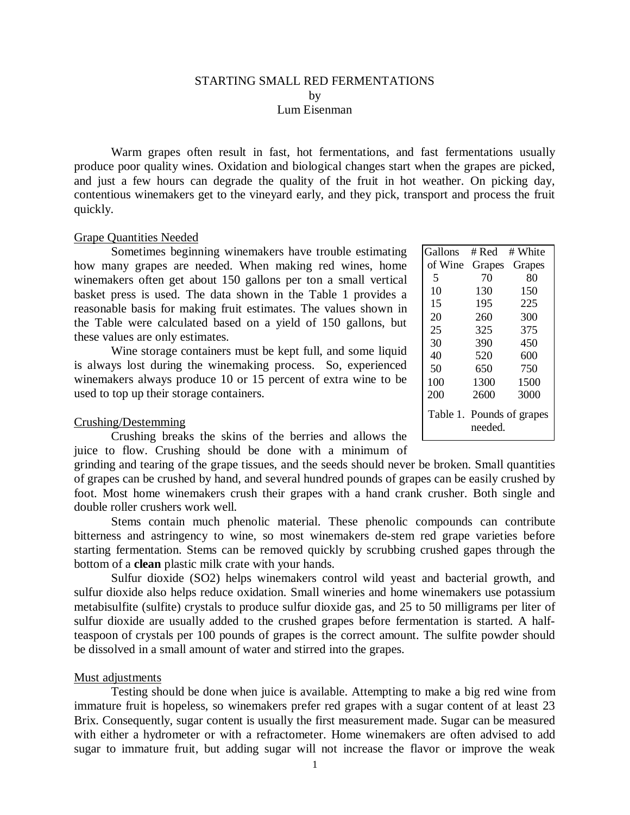## STARTING SMALL RED FERMENTATIONS by Lum Eisenman

Warm grapes often result in fast, hot fermentations, and fast fermentations usually produce poor quality wines. Oxidation and biological changes start when the grapes are picked, and just a few hours can degrade the quality of the fruit in hot weather. On picking day, contentious winemakers get to the vineyard early, and they pick, transport and process the fruit quickly.

### Grape Quantities Needed

Sometimes beginning winemakers have trouble estimating how many grapes are needed. When making red wines, home winemakers often get about 150 gallons per ton a small vertical basket press is used. The data shown in the Table 1 provides a reasonable basis for making fruit estimates. The values shown in the Table were calculated based on a yield of 150 gallons, but these values are only estimates.

Wine storage containers must be kept full, and some liquid is always lost during the winemaking process. So, experienced winemakers always produce 10 or 15 percent of extra wine to be used to top up their storage containers.

## Crushing/Destemming

Crushing breaks the skins of the berries and allows the juice to flow. Crushing should be done with a minimum of

grinding and tearing of the grape tissues, and the seeds should never be broken. Small quantities of grapes can be crushed by hand, and several hundred pounds of grapes can be easily crushed by foot. Most home winemakers crush their grapes with a hand crank crusher. Both single and double roller crushers work well.

Stems contain much phenolic material. These phenolic compounds can contribute bitterness and astringency to wine, so most winemakers de-stem red grape varieties before starting fermentation. Stems can be removed quickly by scrubbing crushed gapes through the bottom of a **clean** plastic milk crate with your hands.

Sulfur dioxide (SO2) helps winemakers control wild yeast and bacterial growth, and sulfur dioxide also helps reduce oxidation. Small wineries and home winemakers use potassium metabisulfite (sulfite) crystals to produce sulfur dioxide gas, and 25 to 50 milligrams per liter of sulfur dioxide are usually added to the crushed grapes before fermentation is started. A halfteaspoon of crystals per 100 pounds of grapes is the correct amount. The sulfite powder should be dissolved in a small amount of water and stirred into the grapes.

### Must adjustments

Testing should be done when juice is available. Attempting to make a big red wine from immature fruit is hopeless, so winemakers prefer red grapes with a sugar content of at least 23 Brix. Consequently, sugar content is usually the first measurement made. Sugar can be measured with either a hydrometer or with a refractometer. Home winemakers are often advised to add sugar to immature fruit, but adding sugar will not increase the flavor or improve the weak

| Gallons                              | # Red  | # White |
|--------------------------------------|--------|---------|
| of Wine                              | Grapes | Grapes  |
| 5                                    | 70     | 80      |
| 10                                   | 130    | 150     |
| 15                                   | 195    | 225     |
| 20                                   | 260    | 300     |
| 25                                   | 325    | 375     |
| 30                                   | 390    | 450     |
| 40                                   | 520    | 600     |
| 50                                   | 650    | 750     |
| 100                                  | 1300   | 1500    |
| 200                                  | 2600   | 3000    |
| Table 1. Pounds of grapes<br>needed. |        |         |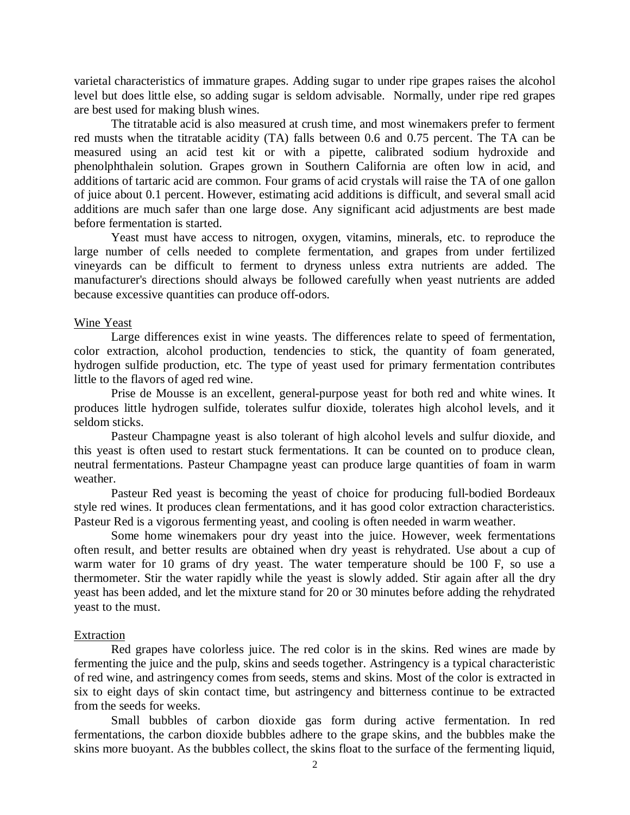varietal characteristics of immature grapes. Adding sugar to under ripe grapes raises the alcohol level but does little else, so adding sugar is seldom advisable. Normally, under ripe red grapes are best used for making blush wines.

The titratable acid is also measured at crush time, and most winemakers prefer to ferment red musts when the titratable acidity (TA) falls between 0.6 and 0.75 percent. The TA can be measured using an acid test kit or with a pipette, calibrated sodium hydroxide and phenolphthalein solution. Grapes grown in Southern California are often low in acid, and additions of tartaric acid are common. Four grams of acid crystals will raise the TA of one gallon of juice about 0.1 percent. However, estimating acid additions is difficult, and several small acid additions are much safer than one large dose. Any significant acid adjustments are best made before fermentation is started.

Yeast must have access to nitrogen, oxygen, vitamins, minerals, etc. to reproduce the large number of cells needed to complete fermentation, and grapes from under fertilized vineyards can be difficult to ferment to dryness unless extra nutrients are added. The manufacturer's directions should always be followed carefully when yeast nutrients are added because excessive quantities can produce off-odors.

## Wine Yeast

Large differences exist in wine yeasts. The differences relate to speed of fermentation, color extraction, alcohol production, tendencies to stick, the quantity of foam generated, hydrogen sulfide production, etc. The type of yeast used for primary fermentation contributes little to the flavors of aged red wine.

Prise de Mousse is an excellent, general-purpose yeast for both red and white wines. It produces little hydrogen sulfide, tolerates sulfur dioxide, tolerates high alcohol levels, and it seldom sticks.

Pasteur Champagne yeast is also tolerant of high alcohol levels and sulfur dioxide, and this yeast is often used to restart stuck fermentations. It can be counted on to produce clean, neutral fermentations. Pasteur Champagne yeast can produce large quantities of foam in warm weather.

Pasteur Red yeast is becoming the yeast of choice for producing full-bodied Bordeaux style red wines. It produces clean fermentations, and it has good color extraction characteristics. Pasteur Red is a vigorous fermenting yeast, and cooling is often needed in warm weather.

Some home winemakers pour dry yeast into the juice. However, week fermentations often result, and better results are obtained when dry yeast is rehydrated. Use about a cup of warm water for 10 grams of dry yeast. The water temperature should be 100 F, so use a thermometer. Stir the water rapidly while the yeast is slowly added. Stir again after all the dry yeast has been added, and let the mixture stand for 20 or 30 minutes before adding the rehydrated yeast to the must.

#### Extraction

Red grapes have colorless juice. The red color is in the skins. Red wines are made by fermenting the juice and the pulp, skins and seeds together. Astringency is a typical characteristic of red wine, and astringency comes from seeds, stems and skins. Most of the color is extracted in six to eight days of skin contact time, but astringency and bitterness continue to be extracted from the seeds for weeks.

Small bubbles of carbon dioxide gas form during active fermentation. In red fermentations, the carbon dioxide bubbles adhere to the grape skins, and the bubbles make the skins more buoyant. As the bubbles collect, the skins float to the surface of the fermenting liquid,